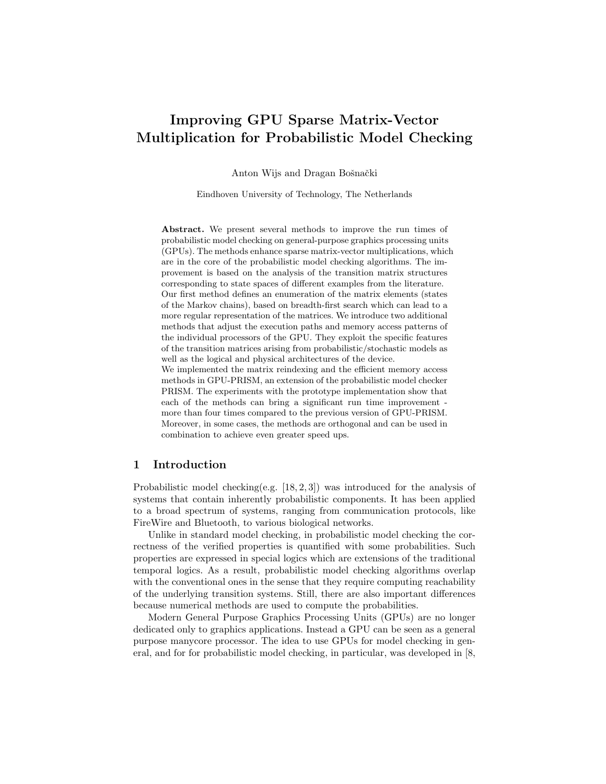# Improving GPU Sparse Matrix-Vector Multiplication for Probabilistic Model Checking

Anton Wijs and Dragan Bošnački

Eindhoven University of Technology, The Netherlands

Abstract. We present several methods to improve the run times of probabilistic model checking on general-purpose graphics processing units (GPUs). The methods enhance sparse matrix-vector multiplications, which are in the core of the probabilistic model checking algorithms. The improvement is based on the analysis of the transition matrix structures corresponding to state spaces of different examples from the literature. Our first method defines an enumeration of the matrix elements (states of the Markov chains), based on breadth-first search which can lead to a more regular representation of the matrices. We introduce two additional methods that adjust the execution paths and memory access patterns of the individual processors of the GPU. They exploit the specific features of the transition matrices arising from probabilistic/stochastic models as well as the logical and physical architectures of the device. We implemented the matrix reindexing and the efficient memory access methods in GPU-PRISM, an extension of the probabilistic model checker PRISM. The experiments with the prototype implementation show that each of the methods can bring a significant run time improvement more than four times compared to the previous version of GPU-PRISM. Moreover, in some cases, the methods are orthogonal and can be used in

### 1 Introduction

Probabilistic model checking(e.g. [18, 2, 3]) was introduced for the analysis of systems that contain inherently probabilistic components. It has been applied to a broad spectrum of systems, ranging from communication protocols, like FireWire and Bluetooth, to various biological networks.

combination to achieve even greater speed ups.

Unlike in standard model checking, in probabilistic model checking the correctness of the verified properties is quantified with some probabilities. Such properties are expressed in special logics which are extensions of the traditional temporal logics. As a result, probabilistic model checking algorithms overlap with the conventional ones in the sense that they require computing reachability of the underlying transition systems. Still, there are also important differences because numerical methods are used to compute the probabilities.

Modern General Purpose Graphics Processing Units (GPUs) are no longer dedicated only to graphics applications. Instead a GPU can be seen as a general purpose manycore processor. The idea to use GPUs for model checking in general, and for for probabilistic model checking, in particular, was developed in [8,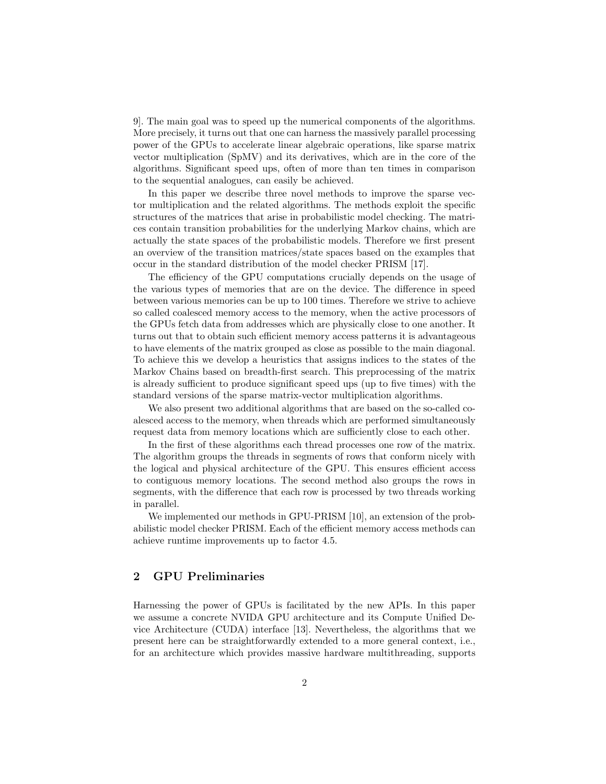9]. The main goal was to speed up the numerical components of the algorithms. More precisely, it turns out that one can harness the massively parallel processing power of the GPUs to accelerate linear algebraic operations, like sparse matrix vector multiplication (SpMV) and its derivatives, which are in the core of the algorithms. Significant speed ups, often of more than ten times in comparison to the sequential analogues, can easily be achieved.

In this paper we describe three novel methods to improve the sparse vector multiplication and the related algorithms. The methods exploit the specific structures of the matrices that arise in probabilistic model checking. The matrices contain transition probabilities for the underlying Markov chains, which are actually the state spaces of the probabilistic models. Therefore we first present an overview of the transition matrices/state spaces based on the examples that occur in the standard distribution of the model checker PRISM [17].

The efficiency of the GPU computations crucially depends on the usage of the various types of memories that are on the device. The difference in speed between various memories can be up to 100 times. Therefore we strive to achieve so called coalesced memory access to the memory, when the active processors of the GPUs fetch data from addresses which are physically close to one another. It turns out that to obtain such efficient memory access patterns it is advantageous to have elements of the matrix grouped as close as possible to the main diagonal. To achieve this we develop a heuristics that assigns indices to the states of the Markov Chains based on breadth-first search. This preprocessing of the matrix is already sufficient to produce significant speed ups (up to five times) with the standard versions of the sparse matrix-vector multiplication algorithms.

We also present two additional algorithms that are based on the so-called coalesced access to the memory, when threads which are performed simultaneously request data from memory locations which are sufficiently close to each other.

In the first of these algorithms each thread processes one row of the matrix. The algorithm groups the threads in segments of rows that conform nicely with the logical and physical architecture of the GPU. This ensures efficient access to contiguous memory locations. The second method also groups the rows in segments, with the difference that each row is processed by two threads working in parallel.

We implemented our methods in GPU-PRISM [10], an extension of the probabilistic model checker PRISM. Each of the efficient memory access methods can achieve runtime improvements up to factor 4.5.

# 2 GPU Preliminaries

Harnessing the power of GPUs is facilitated by the new APIs. In this paper we assume a concrete NVIDA GPU architecture and its Compute Unified Device Architecture (CUDA) interface [13]. Nevertheless, the algorithms that we present here can be straightforwardly extended to a more general context, i.e., for an architecture which provides massive hardware multithreading, supports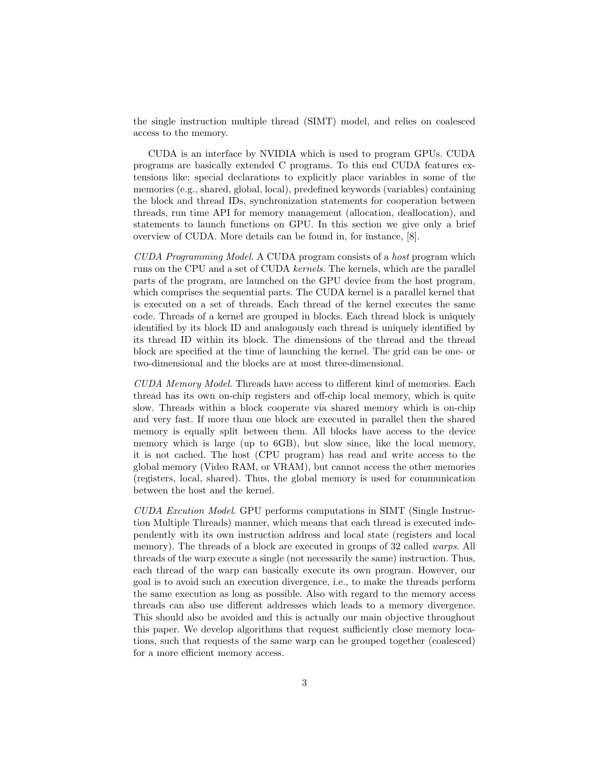the single instruction multiple thread (SIMT) model, and relies on coalesced access to the memory.

CUDA is an interface by NVIDIA which is used to program GPUs. CUDA programs are basically extended C programs. To this end CUDA features extensions like: special declarations to explicitly place variables in some of the memories (e.g., shared, global, local), predefined keywords (variables) containing the block and thread IDs, synchronization statements for cooperation between threads, run time API for memory management (allocation, deallocation), and statements to launch functions on GPU. In this section we give only a brief overview of CUDA. More details can be found in, for instance, [8].

CUDA Programming Model. A CUDA program consists of a host program which runs on the CPU and a set of CUDA kernels. The kernels, which are the parallel parts of the program, are launched on the GPU device from the host program, which comprises the sequential parts. The CUDA kernel is a parallel kernel that is executed on a set of threads. Each thread of the kernel executes the same code. Threads of a kernel are grouped in blocks. Each thread block is uniquely identified by its block ID and analogously each thread is uniquely identified by its thread ID within its block. The dimensions of the thread and the thread block are specified at the time of launching the kernel. The grid can be one- or two-dimensional and the blocks are at most three-dimensional.

CUDA Memory Model. Threads have access to different kind of memories. Each thread has its own on-chip registers and off-chip local memory, which is quite slow. Threads within a block cooperate via shared memory which is on-chip and very fast. If more than one block are executed in parallel then the shared memory is equally split between them. All blocks have access to the device memory which is large (up to 6GB), but slow since, like the local memory, it is not cached. The host (CPU program) has read and write access to the global memory (Video RAM, or VRAM), but cannot access the other memories (registers, local, shared). Thus, the global memory is used for communication between the host and the kernel.

CUDA Excution Model. GPU performs computations in SIMT (Single Instruction Multiple Threads) manner, which means that each thread is executed independently with its own instruction address and local state (registers and local memory). The threads of a block are executed in groups of 32 called *warps*. All threads of the warp execute a single (not necessarily the same) instruction. Thus, each thread of the warp can basically execute its own program. However, our goal is to avoid such an execution divergence, i.e., to make the threads perform the same execution as long as possible. Also with regard to the memory access threads can also use different addresses which leads to a memory divergence. This should also be avoided and this is actually our main objective throughout this paper. We develop algorithms that request sufficiently close memory locations, such that requests of the same warp can be grouped together (coalesced) for a more efficient memory access.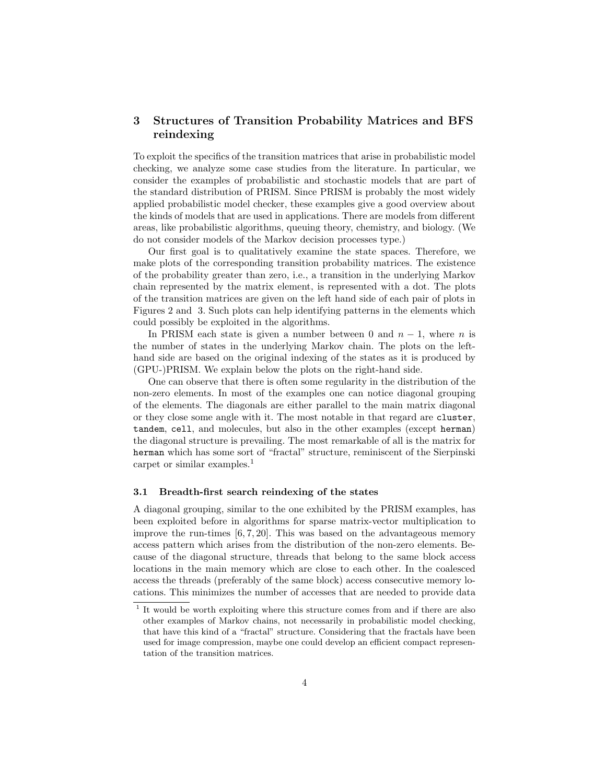# 3 Structures of Transition Probability Matrices and BFS reindexing

To exploit the specifics of the transition matrices that arise in probabilistic model checking, we analyze some case studies from the literature. In particular, we consider the examples of probabilistic and stochastic models that are part of the standard distribution of PRISM. Since PRISM is probably the most widely applied probabilistic model checker, these examples give a good overview about the kinds of models that are used in applications. There are models from different areas, like probabilistic algorithms, queuing theory, chemistry, and biology. (We do not consider models of the Markov decision processes type.)

Our first goal is to qualitatively examine the state spaces. Therefore, we make plots of the corresponding transition probability matrices. The existence of the probability greater than zero, i.e., a transition in the underlying Markov chain represented by the matrix element, is represented with a dot. The plots of the transition matrices are given on the left hand side of each pair of plots in Figures 2 and 3. Such plots can help identifying patterns in the elements which could possibly be exploited in the algorithms.

In PRISM each state is given a number between 0 and  $n-1$ , where n is the number of states in the underlying Markov chain. The plots on the lefthand side are based on the original indexing of the states as it is produced by (GPU-)PRISM. We explain below the plots on the right-hand side.

One can observe that there is often some regularity in the distribution of the non-zero elements. In most of the examples one can notice diagonal grouping of the elements. The diagonals are either parallel to the main matrix diagonal or they close some angle with it. The most notable in that regard are cluster, tandem, cell, and molecules, but also in the other examples (except herman) the diagonal structure is prevailing. The most remarkable of all is the matrix for herman which has some sort of "fractal" structure, reminiscent of the Sierpinski carpet or similar examples.<sup>1</sup>

#### 3.1 Breadth-first search reindexing of the states

A diagonal grouping, similar to the one exhibited by the PRISM examples, has been exploited before in algorithms for sparse matrix-vector multiplication to improve the run-times  $[6, 7, 20]$ . This was based on the advantageous memory access pattern which arises from the distribution of the non-zero elements. Because of the diagonal structure, threads that belong to the same block access locations in the main memory which are close to each other. In the coalesced access the threads (preferably of the same block) access consecutive memory locations. This minimizes the number of accesses that are needed to provide data

<sup>&</sup>lt;sup>1</sup> It would be worth exploiting where this structure comes from and if there are also other examples of Markov chains, not necessarily in probabilistic model checking, that have this kind of a "fractal" structure. Considering that the fractals have been used for image compression, maybe one could develop an efficient compact representation of the transition matrices.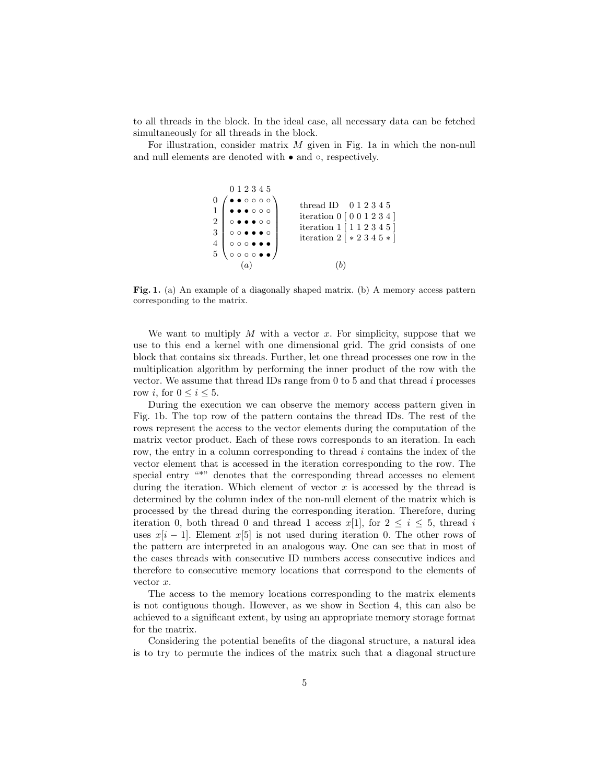to all threads in the block. In the ideal case, all necessary data can be fetched simultaneously for all threads in the block.

For illustration, consider matrix  $M$  given in Fig. 1a in which the non-null and null elements are denoted with  $\bullet$  and  $\circ$ , respectively.

| 0 1 2 3 4 5                                                                                                                                                                                                                                                                                                                                                                                                               |                                                                                                                                                       |
|---------------------------------------------------------------------------------------------------------------------------------------------------------------------------------------------------------------------------------------------------------------------------------------------------------------------------------------------------------------------------------------------------------------------------|-------------------------------------------------------------------------------------------------------------------------------------------------------|
| $\begin{array}{c} 0 \\ 1 \\ 2 \end{array} \left( \begin{array}{ccc} \bullet & \bullet & \circ & \circ & \circ \\ \bullet & \bullet & \circ & \circ & \circ \\ \circ & \bullet & \bullet & \circ & \circ \end{array} \right)$<br>$3   \circ \circ \bullet \bullet \bullet \circ$<br>$\frac{4}{5}$ $\begin{pmatrix} \circ & \circ & \bullet & \bullet & \bullet \\ \circ & \circ & \circ & \bullet & \bullet \end{pmatrix}$ | thread ID $012345$<br>iteration $0 \mid 0 0 1 2 3 4 \mid$<br>iteration $1 \mid 1 \mid 2 \mid 3 \mid 4 \mid 5 \mid$<br>iteration 2 [ $*$ 2 3 4 5 $*$ ] |
|                                                                                                                                                                                                                                                                                                                                                                                                                           |                                                                                                                                                       |

Fig. 1. (a) An example of a diagonally shaped matrix. (b) A memory access pattern corresponding to the matrix.

We want to multiply M with a vector x. For simplicity, suppose that we use to this end a kernel with one dimensional grid. The grid consists of one block that contains six threads. Further, let one thread processes one row in the multiplication algorithm by performing the inner product of the row with the vector. We assume that thread IDs range from 0 to 5 and that thread  $i$  processes row *i*, for  $0 \le i \le 5$ .

During the execution we can observe the memory access pattern given in Fig. 1b. The top row of the pattern contains the thread IDs. The rest of the rows represent the access to the vector elements during the computation of the matrix vector product. Each of these rows corresponds to an iteration. In each row, the entry in a column corresponding to thread i contains the index of the vector element that is accessed in the iteration corresponding to the row. The special entry "\*" denotes that the corresponding thread accesses no element during the iteration. Which element of vector x is accessed by the thread is determined by the column index of the non-null element of the matrix which is processed by the thread during the corresponding iteration. Therefore, during iteration 0, both thread 0 and thread 1 access  $x[1]$ , for  $2 \leq i \leq 5$ , thread i uses  $x[i - 1]$ . Element  $x[5]$  is not used during iteration 0. The other rows of the pattern are interpreted in an analogous way. One can see that in most of the cases threads with consecutive ID numbers access consecutive indices and therefore to consecutive memory locations that correspond to the elements of vector x.

The access to the memory locations corresponding to the matrix elements is not contiguous though. However, as we show in Section 4, this can also be achieved to a significant extent, by using an appropriate memory storage format for the matrix.

Considering the potential benefits of the diagonal structure, a natural idea is to try to permute the indices of the matrix such that a diagonal structure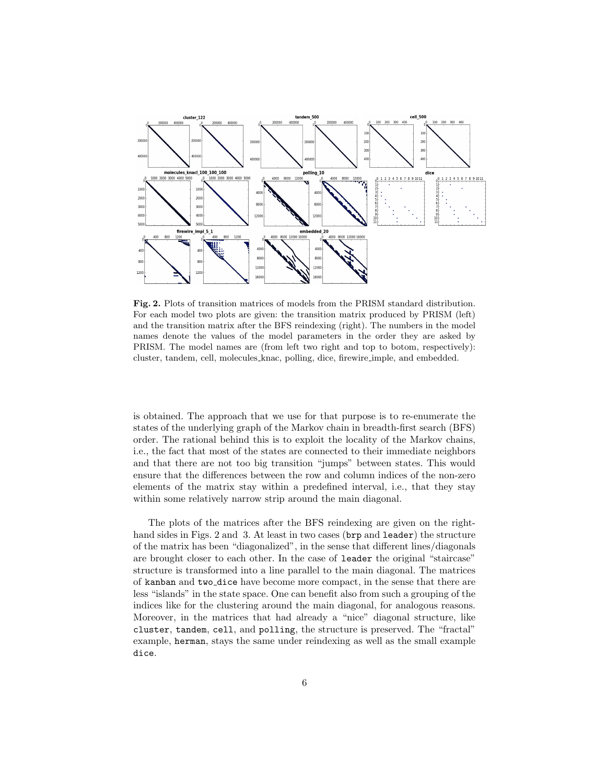

Fig. 2. Plots of transition matrices of models from the PRISM standard distribution. For each model two plots are given: the transition matrix produced by PRISM (left) and the transition matrix after the BFS reindexing (right). The numbers in the model names denote the values of the model parameters in the order they are asked by PRISM. The model names are (from left two right and top to botom, respectively): cluster, tandem, cell, molecules knac, polling, dice, firewire imple, and embedded.

is obtained. The approach that we use for that purpose is to re-enumerate the states of the underlying graph of the Markov chain in breadth-first search (BFS) order. The rational behind this is to exploit the locality of the Markov chains, i.e., the fact that most of the states are connected to their immediate neighbors and that there are not too big transition "jumps" between states. This would ensure that the differences between the row and column indices of the non-zero elements of the matrix stay within a predefined interval, i.e., that they stay within some relatively narrow strip around the main diagonal.

The plots of the matrices after the BFS reindexing are given on the righthand sides in Figs. 2 and 3. At least in two cases (brp and leader) the structure of the matrix has been "diagonalized", in the sense that different lines/diagonals are brought closer to each other. In the case of leader the original "staircase" structure is transformed into a line parallel to the main diagonal. The matrices of kanban and two dice have become more compact, in the sense that there are less "islands" in the state space. One can benefit also from such a grouping of the indices like for the clustering around the main diagonal, for analogous reasons. Moreover, in the matrices that had already a "nice" diagonal structure, like cluster, tandem, cell, and polling, the structure is preserved. The "fractal" example, herman, stays the same under reindexing as well as the small example dice.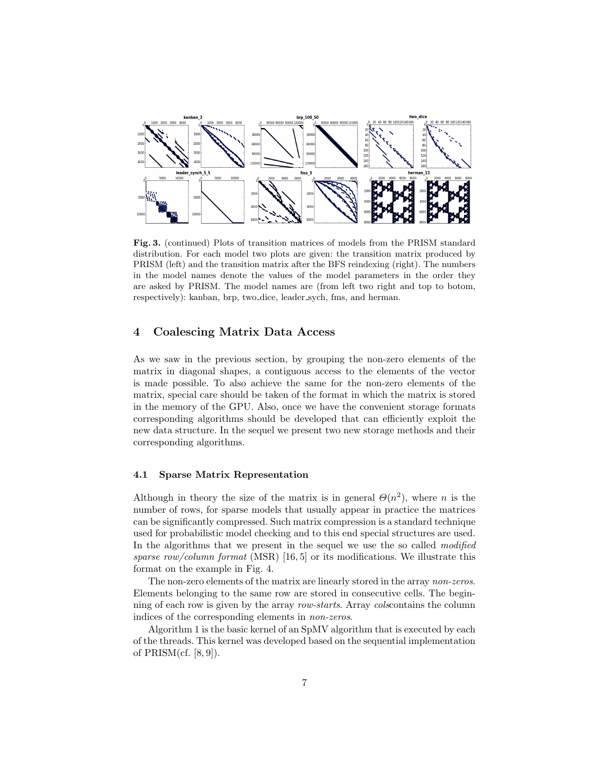

Fig. 3. (continued) Plots of transition matrices of models from the PRISM standard distribution. For each model two plots are given: the transition matrix produced by PRISM (left) and the transition matrix after the BFS reindexing (right). The numbers in the model names denote the values of the model parameters in the order they are asked by PRISM. The model names are (from left two right and top to botom, respectively): kanban, brp, two\_dice, leader\_sych, fms, and herman.

# 4 Coalescing Matrix Data Access

As we saw in the previous section, by grouping the non-zero elements of the matrix in diagonal shapes, a contiguous access to the elements of the vector is made possible. To also achieve the same for the non-zero elements of the matrix, special care should be taken of the format in which the matrix is stored in the memory of the GPU. Also, once we have the convenient storage formats corresponding algorithms should be developed that can efficiently exploit the new data structure. In the sequel we present two new storage methods and their corresponding algorithms.

#### 4.1 Sparse Matrix Representation

Although in theory the size of the matrix is in general  $\Theta(n^2)$ , where *n* is the number of rows, for sparse models that usually appear in practice the matrices can be significantly compressed. Such matrix compression is a standard technique used for probabilistic model checking and to this end special structures are used. In the algorithms that we present in the sequel we use the so called *modified* sparse row/column format (MSR) [16, 5] or its modifications. We illustrate this format on the example in Fig. 4.

The non-zero elements of the matrix are linearly stored in the array non-zeros. Elements belonging to the same row are stored in consecutive cells. The beginning of each row is given by the array row-starts. Array colscontains the column indices of the corresponding elements in non-zeros.

Algorithm 1 is the basic kernel of an SpMV algorithm that is executed by each of the threads. This kernel was developed based on the sequential implementation of PRISM $(cf. [8, 9])$ .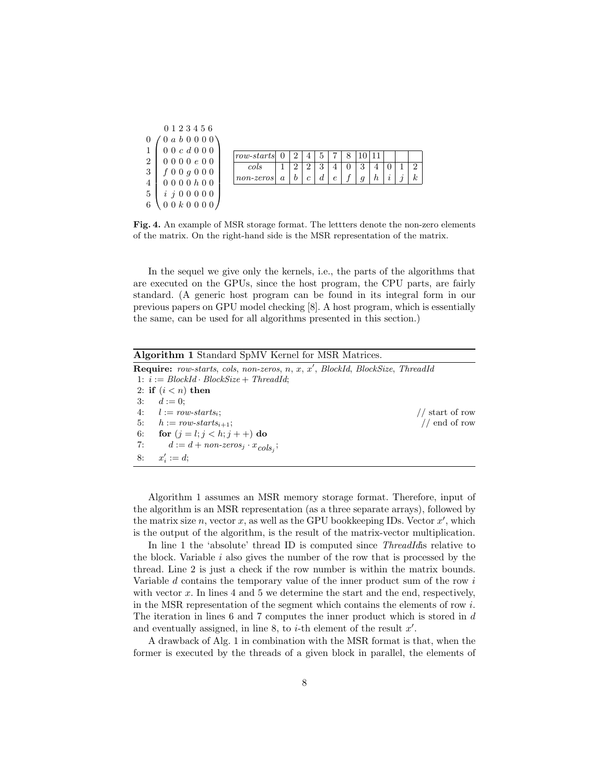|              | 0 1 2 3 4 5 6                               |                                  |                  |    |   |   |   |             |  |                  |
|--------------|---------------------------------------------|----------------------------------|------------------|----|---|---|---|-------------|--|------------------|
| 0            | 0a b 0 0 0 0                                |                                  |                  |    |   |   |   |             |  |                  |
| $\mathbf{1}$ | 00c d 000                                   | $\vert \textit{row-stats} \vert$ |                  |    | 5 |   |   |             |  |                  |
| 2            | 0000e00                                     | $\cos$                           |                  | ٠, | 3 | 4 | 3 | $4^{\circ}$ |  | $\overline{2}$   |
| 3            | 00g000                                      | $non-zeros$                      | $\boldsymbol{a}$ | c  | d | e | a | n           |  | $\boldsymbol{k}$ |
| 4<br>5       | 0 0 0 0 h 0 0<br>$i, j \ 0 \ 0 \ 0 \ 0 \ 0$ |                                  |                  |    |   |   |   |             |  |                  |
| 6            | k <sub>0</sub>                              |                                  |                  |    |   |   |   |             |  |                  |

Fig. 4. An example of MSR storage format. The lettters denote the non-zero elements of the matrix. On the right-hand side is the MSR representation of the matrix.

In the sequel we give only the kernels, i.e., the parts of the algorithms that are executed on the GPUs, since the host program, the CPU parts, are fairly standard. (A generic host program can be found in its integral form in our previous papers on GPU model checking [8]. A host program, which is essentially the same, can be used for all algorithms presented in this section.)

| <b>Require:</b> row-starts, cols, non-zeros, n, x, x', BlockId, BlockSize, ThreadId |
|-------------------------------------------------------------------------------------|
|                                                                                     |
|                                                                                     |
|                                                                                     |
| // start of row                                                                     |
| $//$ end of row                                                                     |
|                                                                                     |
|                                                                                     |
|                                                                                     |
|                                                                                     |

Algorithm 1 assumes an MSR memory storage format. Therefore, input of the algorithm is an MSR representation (as a three separate arrays), followed by the matrix size n, vector x, as well as the GPU bookkeeping IDs. Vector  $x'$ , which is the output of the algorithm, is the result of the matrix-vector multiplication.

In line 1 the 'absolute' thread ID is computed since ThreadIdis relative to the block. Variable  $i$  also gives the number of the row that is processed by the thread. Line 2 is just a check if the row number is within the matrix bounds. Variable  $d$  contains the temporary value of the inner product sum of the row  $i$ with vector  $x$ . In lines 4 and 5 we determine the start and the end, respectively, in the MSR representation of the segment which contains the elements of row i. The iteration in lines 6 and 7 computes the inner product which is stored in d and eventually assigned, in line 8, to *i*-th element of the result  $x'$ .

A drawback of Alg. 1 in combination with the MSR format is that, when the former is executed by the threads of a given block in parallel, the elements of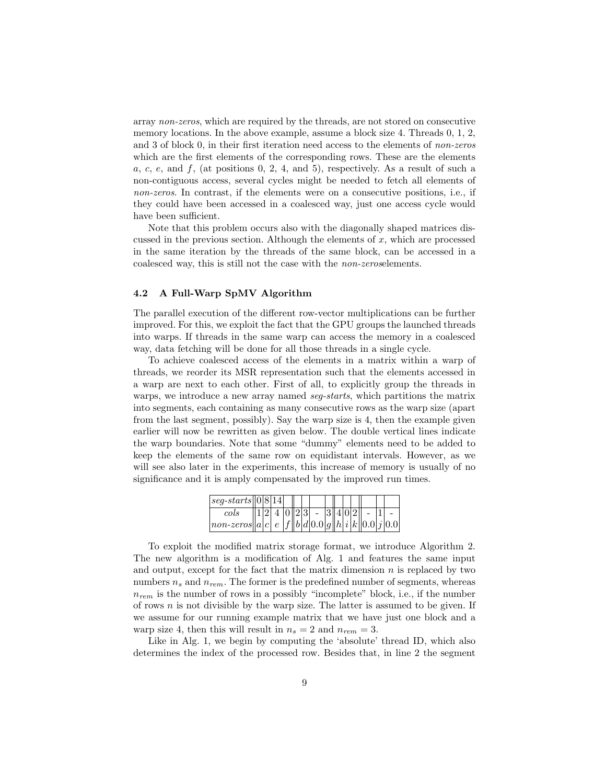array non-zeros, which are required by the threads, are not stored on consecutive memory locations. In the above example, assume a block size 4. Threads 0, 1, 2, and 3 of block 0, in their first iteration need access to the elements of non-zeros which are the first elements of the corresponding rows. These are the elements  $a, c, e,$  and  $f,$  (at positions 0, 2, 4, and 5), respectively. As a result of such a non-contiguous access, several cycles might be needed to fetch all elements of non-zeros. In contrast, if the elements were on a consecutive positions, i.e., if they could have been accessed in a coalesced way, just one access cycle would have been sufficient.

Note that this problem occurs also with the diagonally shaped matrices discussed in the previous section. Although the elements of  $x$ , which are processed in the same iteration by the threads of the same block, can be accessed in a coalesced way, this is still not the case with the non-zeroselements.

### 4.2 A Full-Warp SpMV Algorithm

The parallel execution of the different row-vector multiplications can be further improved. For this, we exploit the fact that the GPU groups the launched threads into warps. If threads in the same warp can access the memory in a coalesced way, data fetching will be done for all those threads in a single cycle.

To achieve coalesced access of the elements in a matrix within a warp of threads, we reorder its MSR representation such that the elements accessed in a warp are next to each other. First of all, to explicitly group the threads in warps, we introduce a new array named *seq-starts*, which partitions the matrix into segments, each containing as many consecutive rows as the warp size (apart from the last segment, possibly). Say the warp size is 4, then the example given earlier will now be rewritten as given below. The double vertical lines indicate the warp boundaries. Note that some "dummy" elements need to be added to keep the elements of the same row on equidistant intervals. However, as we will see also later in the experiments, this increase of memory is usually of no significance and it is amply compensated by the improved run times.

| $seg\text{-}starts  0 8 14$                                 |  |  |  |  |  |  |  |
|-------------------------------------------------------------|--|--|--|--|--|--|--|
| $\cos$                                                      |  |  |  |  |  |  |  |
| $ non\text{-}zeros  a c  e  f  b d 0.0 g  h i k 0.0 j 0.0 $ |  |  |  |  |  |  |  |

To exploit the modified matrix storage format, we introduce Algorithm 2. The new algorithm is a modification of Alg. 1 and features the same input and output, except for the fact that the matrix dimension  $n$  is replaced by two numbers  $n_s$  and  $n_{rem}$ . The former is the predefined number of segments, whereas  $n_{rem}$  is the number of rows in a possibly "incomplete" block, i.e., if the number of rows  $n$  is not divisible by the warp size. The latter is assumed to be given. If we assume for our running example matrix that we have just one block and a warp size 4, then this will result in  $n_s = 2$  and  $n_{rem} = 3$ .

Like in Alg. 1, we begin by computing the 'absolute' thread ID, which also determines the index of the processed row. Besides that, in line 2 the segment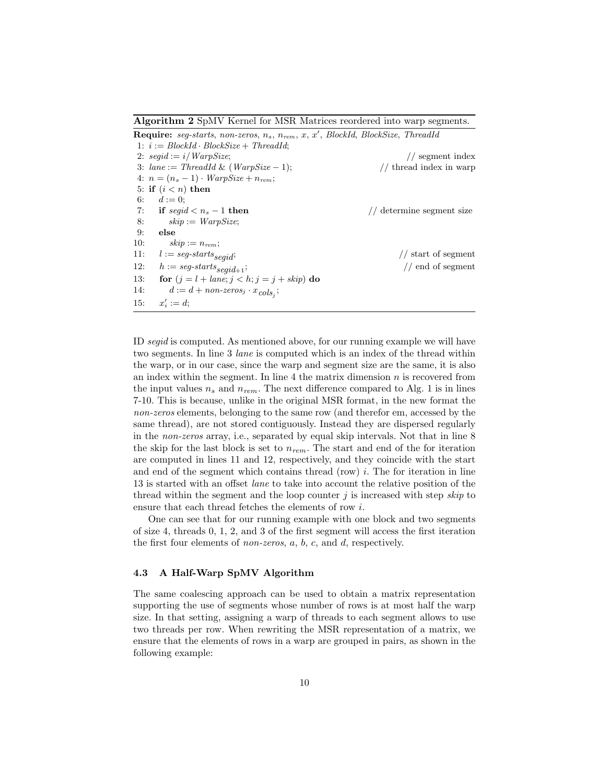Algorithm 2 SpMV Kernel for MSR Matrices reordered into warp segments.

**Require:** seg-starts, non-zeros,  $n_s$ ,  $n_{rem}$ ,  $x$ ,  $x'$ , BlockId, BlockSize, ThreadId 1:  $i := BlockId \cdot BlockSize + ThreadId;$ 2:  $\text{segid} := i / \text{WarpSize};$  // segment index 3: lane := ThreadId & (WarpSize - 1);  $\frac{1}{2}$  // thread index in warp 4:  $n = (n_s - 1) \cdot \text{WarpSize} + \text{n}_{\text{rem}};$ 5: if  $(i < n)$  then 6:  $d := 0;$ 7: if  $\text{segid} < n_s - 1$  then // determine segment size 8:  $skip := \n *WarpSize*;$ 9: else 10:  $skip := n_{rem}$ ; 11:  $l := \text{seg-starts}_{\text{segid}};$ <br>
12:  $h := \text{seg-starts}_{\text{segid-1}};$  // end of segment 12:  $h := seg\text{-}starts}_{segid+1};$ 13: for  $(j = l + lane; j < h; j = j + skip)$  do 14:  $d := d + non-zero s_j \cdot x_{cols_j};$  $15:$  $i' := d;$ 

ID segid is computed. As mentioned above, for our running example we will have two segments. In line 3 lane is computed which is an index of the thread within the warp, or in our case, since the warp and segment size are the same, it is also an index within the segment. In line 4 the matrix dimension  $n$  is recovered from the input values  $n_s$  and  $n_{rem}$ . The next difference compared to Alg. 1 is in lines 7-10. This is because, unlike in the original MSR format, in the new format the non-zeros elements, belonging to the same row (and therefor em, accessed by the same thread), are not stored contiguously. Instead they are dispersed regularly in the non-zeros array, i.e., separated by equal skip intervals. Not that in line 8 the skip for the last block is set to  $n_{rem}$ . The start and end of the for iteration are computed in lines 11 and 12, respectively, and they coincide with the start and end of the segment which contains thread (row)  $i$ . The for iteration in line 13 is started with an offset lane to take into account the relative position of the thread within the segment and the loop counter  $j$  is increased with step skip to ensure that each thread fetches the elements of row i.

One can see that for our running example with one block and two segments of size 4, threads 0, 1, 2, and 3 of the first segment will access the first iteration the first four elements of non-zeros, a, b, c, and d, respectively.

#### 4.3 A Half-Warp SpMV Algorithm

The same coalescing approach can be used to obtain a matrix representation supporting the use of segments whose number of rows is at most half the warp size. In that setting, assigning a warp of threads to each segment allows to use two threads per row. When rewriting the MSR representation of a matrix, we ensure that the elements of rows in a warp are grouped in pairs, as shown in the following example: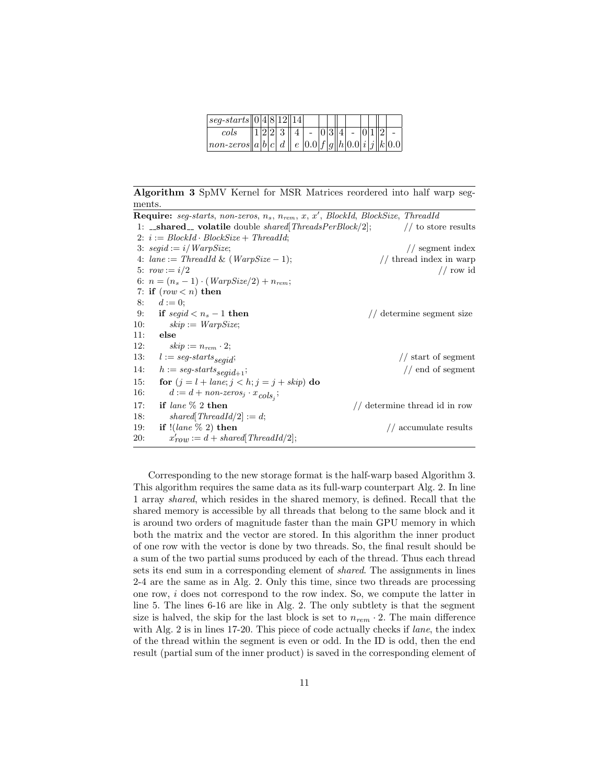| $ seg\text{-}starts  0 4 8 12$                             |  |  |  |  |  |  |  |
|------------------------------------------------------------|--|--|--|--|--|--|--|
| cols                                                       |  |  |  |  |  |  |  |
| $ non\text{-}zeros  a b c d  e 0.0 f g  h 0.0 i j  k 0.0 $ |  |  |  |  |  |  |  |

Algorithm 3 SpMV Kernel for MSR Matrices reordered into half warp segments.

|     | <b>Require:</b> seg-starts, non-zeros, $n_s$ , $n_{rem}$ , x, x', BlockId, BlockSize, ThreadId |                            |
|-----|------------------------------------------------------------------------------------------------|----------------------------|
|     | 1: _shared_ volatile double shared Threads $PerBlock/2$ ;                                      | // to store results        |
|     | 2: $i := BlockId \cdot BlockSize + ThreadId;$                                                  |                            |
|     | 3: $\text{seqid} := i / \text{WarpSize};$                                                      | $//$ segment index         |
|     | 4: $lane := ThreadId & (WarpSize - 1);$                                                        | // thread index in warp    |
|     | 5: $row := i/2$                                                                                | // row id                  |
|     | 6: $n = (n_s - 1) \cdot (WarpSize/2) + n_{rem};$                                               |                            |
|     | 7: if $(row < n)$ then                                                                         |                            |
| 8:  | $d := 0$                                                                                       |                            |
| 9:  | if $\text{seqid} < n_s - 1$ then                                                               | // determine segment size  |
| 10: | $skip := WarpSize;$                                                                            |                            |
| 11: | else                                                                                           |                            |
| 12: | $skip := n_{rem} \cdot 2;$                                                                     |                            |
| 13: | $l := seg\text{-}starts_{seqid};$                                                              | // start of segment        |
| 14: | $h := \textit{seg-stats}_{\textit{seqid}+1};$                                                  | $//$ end of segment        |
| 15: | for $(j = l + lane; j < h; j = j + skip)$ do                                                   |                            |
| 16: | $d := d + non-zeros_j \cdot x_{cols_i};$                                                       |                            |
| 17: | if lane $\%$ 2 then                                                                            | determine thread id in row |
| 18: | shared ThreadId/2 $:= d$ ;                                                                     |                            |
| 19: | if $\frac{1}{\tan \theta}$ $\frac{1}{2}$ then                                                  | // accumulate results      |
| 20: | $x'_{\text{row}} := d + \text{shared}[\text{ThreadId}/2];$                                     |                            |

Corresponding to the new storage format is the half-warp based Algorithm 3. This algorithm requires the same data as its full-warp counterpart Alg. 2. In line 1 array shared, which resides in the shared memory, is defined. Recall that the shared memory is accessible by all threads that belong to the same block and it is around two orders of magnitude faster than the main GPU memory in which both the matrix and the vector are stored. In this algorithm the inner product of one row with the vector is done by two threads. So, the final result should be a sum of the two partial sums produced by each of the thread. Thus each thread sets its end sum in a corresponding element of shared. The assignments in lines 2-4 are the same as in Alg. 2. Only this time, since two threads are processing one row, i does not correspond to the row index. So, we compute the latter in line 5. The lines 6-16 are like in Alg. 2. The only subtlety is that the segment size is halved, the skip for the last block is set to  $n_{rem} \cdot 2$ . The main difference with Alg. 2 is in lines 17-20. This piece of code actually checks if *lane*, the index of the thread within the segment is even or odd. In the ID is odd, then the end result (partial sum of the inner product) is saved in the corresponding element of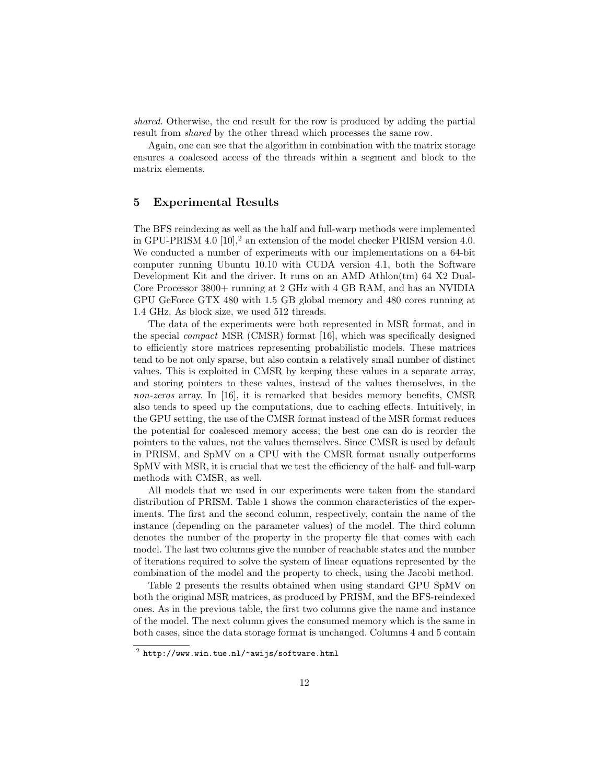shared. Otherwise, the end result for the row is produced by adding the partial result from *shared* by the other thread which processes the same row.

Again, one can see that the algorithm in combination with the matrix storage ensures a coalesced access of the threads within a segment and block to the matrix elements.

# 5 Experimental Results

The BFS reindexing as well as the half and full-warp methods were implemented in GPU-PRISM 4.0  $[10]$ ,<sup>2</sup> an extension of the model checker PRISM version 4.0. We conducted a number of experiments with our implementations on a 64-bit computer running Ubuntu 10.10 with CUDA version 4.1, both the Software Development Kit and the driver. It runs on an AMD Athlon(tm) 64 X2 Dual-Core Processor 3800+ running at 2 GHz with 4 GB RAM, and has an NVIDIA GPU GeForce GTX 480 with 1.5 GB global memory and 480 cores running at 1.4 GHz. As block size, we used 512 threads.

The data of the experiments were both represented in MSR format, and in the special compact MSR (CMSR) format [16], which was specifically designed to efficiently store matrices representing probabilistic models. These matrices tend to be not only sparse, but also contain a relatively small number of distinct values. This is exploited in CMSR by keeping these values in a separate array, and storing pointers to these values, instead of the values themselves, in the non-zeros array. In [16], it is remarked that besides memory benefits, CMSR also tends to speed up the computations, due to caching effects. Intuitively, in the GPU setting, the use of the CMSR format instead of the MSR format reduces the potential for coalesced memory access; the best one can do is reorder the pointers to the values, not the values themselves. Since CMSR is used by default in PRISM, and SpMV on a CPU with the CMSR format usually outperforms SpMV with MSR, it is crucial that we test the efficiency of the half- and full-warp methods with CMSR, as well.

All models that we used in our experiments were taken from the standard distribution of PRISM. Table 1 shows the common characteristics of the experiments. The first and the second column, respectively, contain the name of the instance (depending on the parameter values) of the model. The third column denotes the number of the property in the property file that comes with each model. The last two columns give the number of reachable states and the number of iterations required to solve the system of linear equations represented by the combination of the model and the property to check, using the Jacobi method.

Table 2 presents the results obtained when using standard GPU SpMV on both the original MSR matrices, as produced by PRISM, and the BFS-reindexed ones. As in the previous table, the first two columns give the name and instance of the model. The next column gives the consumed memory which is the same in both cases, since the data storage format is unchanged. Columns 4 and 5 contain

 $^2$  http://www.win.tue.nl/~awijs/software.html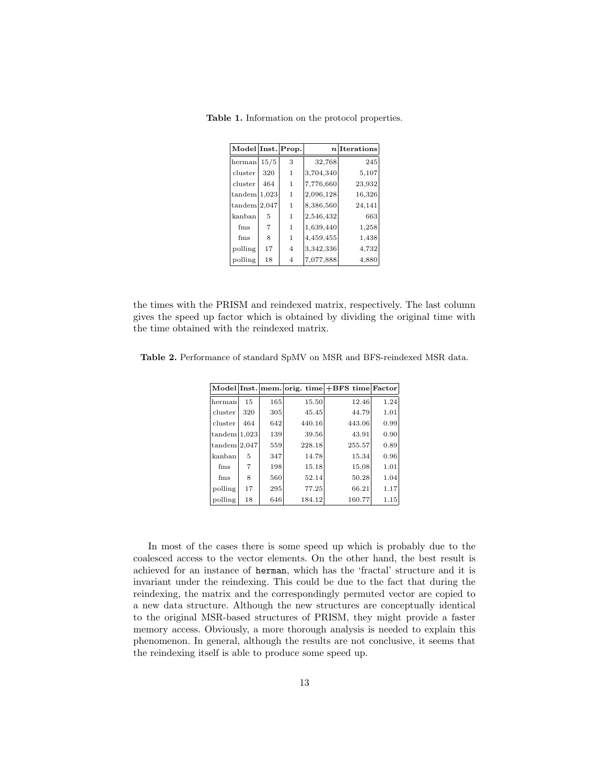| Model Inst. Prop.   |      |                |           | $n$ Iterations |
|---------------------|------|----------------|-----------|----------------|
| herman              | 15/5 | 3              | 32,768    | 245            |
| cluster             | 320  | 1              | 3,704,340 | 5,107          |
| cluster             | 464  | 1              | 7,776,660 | 23,932         |
| $tandem$ 1,023      |      | $\mathbf{1}$   | 2,096,128 | 16,326         |
| $t$ andem $ 2,047 $ |      | 1              | 8,386,560 | 24,141         |
| kanban              | 5    | 1              | 2,546,432 | 663            |
| fms                 | 7    | 1              | 1,639,440 | 1,258          |
| fms                 | 8    | 1              | 4,459,455 | 1,438          |
| polling             | 17   | $\overline{4}$ | 3,342,336 | 4,732          |
| polling             | 18   | 4              | 7,077,888 | 4,880          |

Table 1. Information on the protocol properties.

the times with the PRISM and reindexed matrix, respectively. The last column gives the speed up factor which is obtained by dividing the original time with the time obtained with the reindexed matrix.

Table 2. Performance of standard SpMV on MSR and BFS-reindexed MSR data.

|                 |     |     |        | Model Inst. mem. orig. time +BFS time Factor |      |
|-----------------|-----|-----|--------|----------------------------------------------|------|
| herman          | 15  | 165 | 15.50  | 12.46                                        | 1.24 |
| cluster         | 320 | 305 | 45.45  | 44.79                                        | 1.01 |
| cluster         | 464 | 642 | 440.16 | 443.06                                       | 0.99 |
| $tandem$ 1,023  |     | 139 | 39.56  | 43.91                                        | 0.90 |
| $tandem$ 2.047  |     | 559 | 228.18 | 255.57                                       | 0.89 |
| kanban          | 5   | 347 | 14.78  | 15.34                                        | 0.96 |
| f <sub>ms</sub> | 7   | 198 | 15.18  | 15.08                                        | 1.01 |
| f <sub>ms</sub> | 8   | 560 | 52.14  | 50.28                                        | 1.04 |
| polling         | 17  | 295 | 77.25  | 66.21                                        | 1.17 |
| polling         | 18  | 646 | 184.12 | 160.77                                       | 1.15 |

In most of the cases there is some speed up which is probably due to the coalesced access to the vector elements. On the other hand, the best result is achieved for an instance of herman, which has the 'fractal' structure and it is invariant under the reindexing. This could be due to the fact that during the reindexing, the matrix and the correspondingly permuted vector are copied to a new data structure. Although the new structures are conceptually identical to the original MSR-based structures of PRISM, they might provide a faster memory access. Obviously, a more thorough analysis is needed to explain this phenomenon. In general, although the results are not conclusive, it seems that the reindexing itself is able to produce some speed up.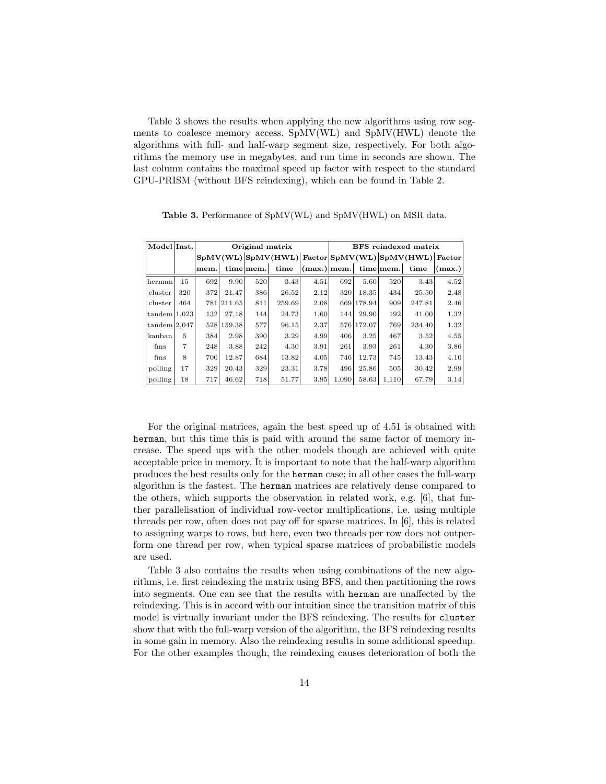Table 3 shows the results when applying the new algorithms using row segments to coalesce memory access. SpMV(WL) and SpMV(HWL) denote the algorithms with full- and half-warp segment size, respectively. For both algorithms the memory use in megabytes, and run time in seconds are shown. The last column contains the maximal speed up factor with respect to the standard GPU-PRISM (without BFS reindexing), which can be found in Table 2.

| Model Inst.   |                |      |            |           | Original matrix                                        |               |       |            |           | BFS reindexed matrix |        |
|---------------|----------------|------|------------|-----------|--------------------------------------------------------|---------------|-------|------------|-----------|----------------------|--------|
|               |                |      |            |           | $SpMV(WL)/SpMV(HWL)/Factor(SpMV(WL)/SpMV(HWL)/Factor/$ |               |       |            |           |                      |        |
|               |                | mem. |            | time mem. | time                                                   | $(max.)$ mem. |       |            | time mem. | time                 | (max.) |
| herman        | 15             | 692  | 9.90       | 520       | 3.43                                                   | 4.51          | 692   | 5.60       | 520       | 3.43                 | 4.52   |
| cluster       | 320            | 372  | 21.47      | 386       | 26.52                                                  | 2.12          | 320   | 18.35      | 434       | 25.50                | 2.48   |
| cluster       | 464            |      | 781 211.65 | 811       | 259.69                                                 | 2.08          |       | 669 178.94 | 909       | 247.81               | 2.46   |
| tandem[1,023] |                | 132  | 27.18      | 144       | 24.73                                                  | 1.60          | 144   | 29.90      | 192       | 41.00                | 1.32   |
| tandem[2,047] |                |      | 528 159.38 | 577       | 96.15                                                  | 2.37          |       | 576 172.07 | 769       | 234.40               | 1.32   |
| kanban        | 5              | 384  | 2.98       | 390       | 3.29                                                   | 4.99          | 406   | 3.25       | 467       | 3.52                 | 4.55   |
| ${\rm rms}$   | $\overline{7}$ | 248  | 3.88       | 242       | 4.30                                                   | 3.91          | 261   | 3.93       | 261       | 4.30                 | 3.86   |
| fms           | 8              | 700  | 12.87      | 684       | 13.82                                                  | 4.05          | 746   | 12.73      | 745       | 13.43                | 4.10   |
| polling       | 17             | 329  | 20.43      | 329       | 23.31                                                  | 3.78          | 496   | 25.86      | 505       | 30.42                | 2.99   |
| polling       | 18             | 717  | 46.62      | 718       | 51.77                                                  | 3.95          | 1,090 | 58.63      | 1,110     | 67.79                | 3.14   |

Table 3. Performance of SpMV(WL) and SpMV(HWL) on MSR data.

For the original matrices, again the best speed up of 4.51 is obtained with herman, but this time this is paid with around the same factor of memory increase. The speed ups with the other models though are achieved with quite acceptable price in memory. It is important to note that the half-warp algorithm produces the best results only for the herman case; in all other cases the full-warp algorithm is the fastest. The herman matrices are relatively dense compared to the others, which supports the observation in related work, e.g. [6], that further parallelisation of individual row-vector multiplications, i.e. using multiple threads per row, often does not pay off for sparse matrices. In [6], this is related to assigning warps to rows, but here, even two threads per row does not outperform one thread per row, when typical sparse matrices of probabilistic models are used.

Table 3 also contains the results when using combinations of the new algorithms, i.e. first reindexing the matrix using BFS, and then partitioning the rows into segments. One can see that the results with herman are unaffected by the reindexing. This is in accord with our intuition since the transition matrix of this model is virtually invariant under the BFS reindexing. The results for cluster show that with the full-warp version of the algorithm, the BFS reindexing results in some gain in memory. Also the reindexing results in some additional speedup. For the other examples though, the reindexing causes deterioration of both the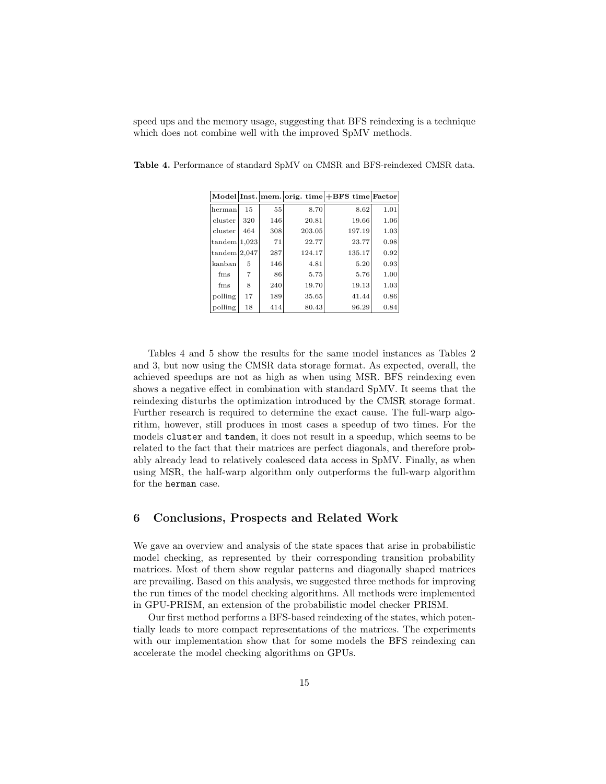speed ups and the memory usage, suggesting that BFS reindexing is a technique which does not combine well with the improved SpMV methods.

|                      |     |     |        | Model Inst. mem. orig.time +BFStime Factor |      |
|----------------------|-----|-----|--------|--------------------------------------------|------|
| herman               | 15  | 55  | 8.70   | 8.62                                       | 1.01 |
| cluster              | 320 | 146 | 20.81  | 19.66                                      | 1.06 |
| cluster              | 464 | 308 | 203.05 | 197.19                                     | 1.03 |
| $tandem$ 1,023       |     | 71  | 22.77  | 23.77                                      | 0.98 |
| $tandem \vert 2,047$ |     | 287 | 124.17 | 135.17                                     | 0.92 |
| kanban               | 5   | 146 | 4.81   | 5.20                                       | 0.93 |
| f <sub>ms</sub>      | 7   | 86  | 5.75   | 5.76                                       | 1.00 |
| f <sub>ms</sub>      | 8   | 240 | 19.70  | 19.13                                      | 1.03 |
| polling              | 17  | 189 | 35.65  | 41.44                                      | 0.86 |
| polling              | 18  | 414 | 80.43  | 96.29                                      | 0.84 |

Table 4. Performance of standard SpMV on CMSR and BFS-reindexed CMSR data.

Tables 4 and 5 show the results for the same model instances as Tables 2 and 3, but now using the CMSR data storage format. As expected, overall, the achieved speedups are not as high as when using MSR. BFS reindexing even shows a negative effect in combination with standard SpMV. It seems that the reindexing disturbs the optimization introduced by the CMSR storage format. Further research is required to determine the exact cause. The full-warp algorithm, however, still produces in most cases a speedup of two times. For the models cluster and tandem, it does not result in a speedup, which seems to be related to the fact that their matrices are perfect diagonals, and therefore probably already lead to relatively coalesced data access in SpMV. Finally, as when using MSR, the half-warp algorithm only outperforms the full-warp algorithm for the herman case.

# 6 Conclusions, Prospects and Related Work

We gave an overview and analysis of the state spaces that arise in probabilistic model checking, as represented by their corresponding transition probability matrices. Most of them show regular patterns and diagonally shaped matrices are prevailing. Based on this analysis, we suggested three methods for improving the run times of the model checking algorithms. All methods were implemented in GPU-PRISM, an extension of the probabilistic model checker PRISM.

Our first method performs a BFS-based reindexing of the states, which potentially leads to more compact representations of the matrices. The experiments with our implementation show that for some models the BFS reindexing can accelerate the model checking algorithms on GPUs.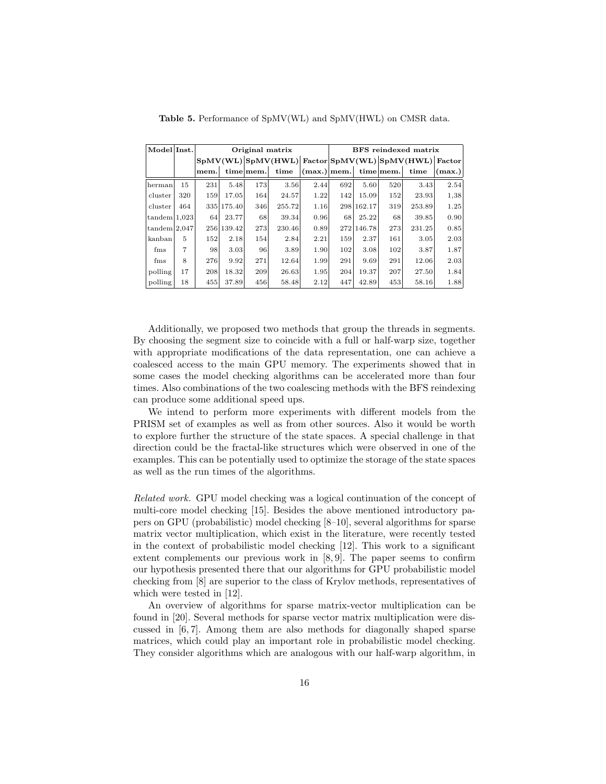| Model Inst.          |                |      |            | Original matrix |        |               | BFS reindexed matrix |            |                                                                      |        |        |  |  |  |
|----------------------|----------------|------|------------|-----------------|--------|---------------|----------------------|------------|----------------------------------------------------------------------|--------|--------|--|--|--|
|                      |                |      |            |                 |        |               |                      |            | $SpMV(WL)$  Sp $MV(HWL)$   Factor Sp $MV(WL)$  Sp $MV(HWL)$   Factor |        |        |  |  |  |
|                      |                | mem. |            | time mem.       | time   | $(max.)$ mem. |                      |            | time mem.                                                            | time   | (max.) |  |  |  |
| herman               | 15             | 231  | 5.48       | 173             | 3.56   | 2.44          | 692                  | 5.60       | 520                                                                  | 3.43   | 2.54   |  |  |  |
| cluster              | 320            | 159  | 17.05      | 164             | 24.57  | 1.22          | 142                  | 15.09      | 152                                                                  | 23.93  | 1,38   |  |  |  |
| cluster              | 464            |      | 335 175.40 | 346             | 255.72 | 1.16          |                      | 298 162.17 | 319                                                                  | 253.89 | 1.25   |  |  |  |
| $tandem$ 1,023       |                | 64   | 23.77      | 68              | 39.34  | 0.96          | 68                   | 25.22      | 68                                                                   | 39.85  | 0.90   |  |  |  |
| $tandem \vert 2.047$ |                |      | 256 139.42 | 273             | 230.46 | 0.89          |                      | 272 146.78 | 273                                                                  | 231.25 | 0.85   |  |  |  |
| kanban               | 5              | 152  | 2.18       | 154             | 2.84   | 2.21          | 159                  | 2.37       | 161                                                                  | 3.05   | 2.03   |  |  |  |
| ${\rm fms}$          | $\overline{7}$ | 98   | 3.03       | 96              | 3.89   | 1.90          | 102                  | 3.08       | 102                                                                  | 3.87   | 1.87   |  |  |  |
| ${\rm rms}$          | 8              | 276  | 9.92       | 271             | 12.64  | 1.99          | 291                  | 9.69       | 291                                                                  | 12.06  | 2.03   |  |  |  |
| polling              | 17             | 208  | 18.32      | 209             | 26.63  | 1.95          | 204                  | 19.37      | 207                                                                  | 27.50  | 1.84   |  |  |  |
| polling              | 18             | 455  | 37.89      | 456             | 58.48  | 2.12          | 447                  | 42.89      | 453                                                                  | 58.16  | 1.88   |  |  |  |

Table 5. Performance of SpMV(WL) and SpMV(HWL) on CMSR data.

Additionally, we proposed two methods that group the threads in segments. By choosing the segment size to coincide with a full or half-warp size, together with appropriate modifications of the data representation, one can achieve a coalesced access to the main GPU memory. The experiments showed that in some cases the model checking algorithms can be accelerated more than four times. Also combinations of the two coalescing methods with the BFS reindexing can produce some additional speed ups.

We intend to perform more experiments with different models from the PRISM set of examples as well as from other sources. Also it would be worth to explore further the structure of the state spaces. A special challenge in that direction could be the fractal-like structures which were observed in one of the examples. This can be potentially used to optimize the storage of the state spaces as well as the run times of the algorithms.

Related work. GPU model checking was a logical continuation of the concept of multi-core model checking [15]. Besides the above mentioned introductory papers on GPU (probabilistic) model checking [8–10], several algorithms for sparse matrix vector multiplication, which exist in the literature, were recently tested in the context of probabilistic model checking [12]. This work to a significant extent complements our previous work in [8,9]. The paper seems to confirm our hypothesis presented there that our algorithms for GPU probabilistic model checking from [8] are superior to the class of Krylov methods, representatives of which were tested in [12].

An overview of algorithms for sparse matrix-vector multiplication can be found in [20]. Several methods for sparse vector matrix multiplication were discussed in [6, 7]. Among them are also methods for diagonally shaped sparse matrices, which could play an important role in probabilistic model checking. They consider algorithms which are analogous with our half-warp algorithm, in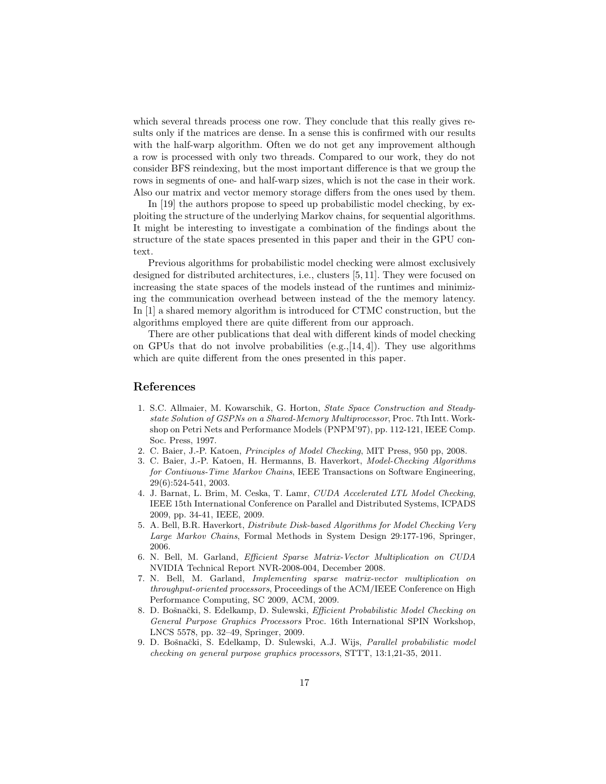which several threads process one row. They conclude that this really gives results only if the matrices are dense. In a sense this is confirmed with our results with the half-warp algorithm. Often we do not get any improvement although a row is processed with only two threads. Compared to our work, they do not consider BFS reindexing, but the most important difference is that we group the rows in segments of one- and half-warp sizes, which is not the case in their work. Also our matrix and vector memory storage differs from the ones used by them.

In [19] the authors propose to speed up probabilistic model checking, by exploiting the structure of the underlying Markov chains, for sequential algorithms. It might be interesting to investigate a combination of the findings about the structure of the state spaces presented in this paper and their in the GPU context.

Previous algorithms for probabilistic model checking were almost exclusively designed for distributed architectures, i.e., clusters [5, 11]. They were focused on increasing the state spaces of the models instead of the runtimes and minimizing the communication overhead between instead of the the memory latency. In [1] a shared memory algorithm is introduced for CTMC construction, but the algorithms employed there are quite different from our approach.

There are other publications that deal with different kinds of model checking on GPUs that do not involve probabilities  $(e.g., [14, 4])$ . They use algorithms which are quite different from the ones presented in this paper.

### References

- 1. S.C. Allmaier, M. Kowarschik, G. Horton, State Space Construction and Steadystate Solution of GSPNs on a Shared-Memory Multiprocessor, Proc. 7th Intt. Workshop on Petri Nets and Performance Models (PNPM'97), pp. 112-121, IEEE Comp. Soc. Press, 1997.
- 2. C. Baier, J.-P. Katoen, Principles of Model Checking, MIT Press, 950 pp, 2008.
- 3. C. Baier, J.-P. Katoen, H. Hermanns, B. Haverkort, Model-Checking Algorithms for Contiuous-Time Markov Chains, IEEE Transactions on Software Engineering, 29(6):524-541, 2003.
- 4. J. Barnat, L. Brim, M. Ceska, T. Lamr, CUDA Accelerated LTL Model Checking, IEEE 15th International Conference on Parallel and Distributed Systems, ICPADS 2009, pp. 34-41, IEEE, 2009.
- 5. A. Bell, B.R. Haverkort, Distribute Disk-based Algorithms for Model Checking Very Large Markov Chains, Formal Methods in System Design 29:177-196, Springer, 2006.
- 6. N. Bell, M. Garland, Efficient Sparse Matrix-Vector Multiplication on CUDA NVIDIA Technical Report NVR-2008-004, December 2008.
- 7. N. Bell, M. Garland, Implementing sparse matrix-vector multiplication on throughput-oriented processors, Proceedings of the ACM/IEEE Conference on High Performance Computing, SC 2009, ACM, 2009.
- 8. D. Bošnački, S. Edelkamp, D. Sulewski, *Efficient Probabilistic Model Checking on* General Purpose Graphics Processors Proc. 16th International SPIN Workshop, LNCS 5578, pp. 32–49, Springer, 2009.
- 9. D. Bošnački, S. Edelkamp, D. Sulewski, A.J. Wijs, Parallel probabilistic model checking on general purpose graphics processors, STTT, 13:1,21-35, 2011.